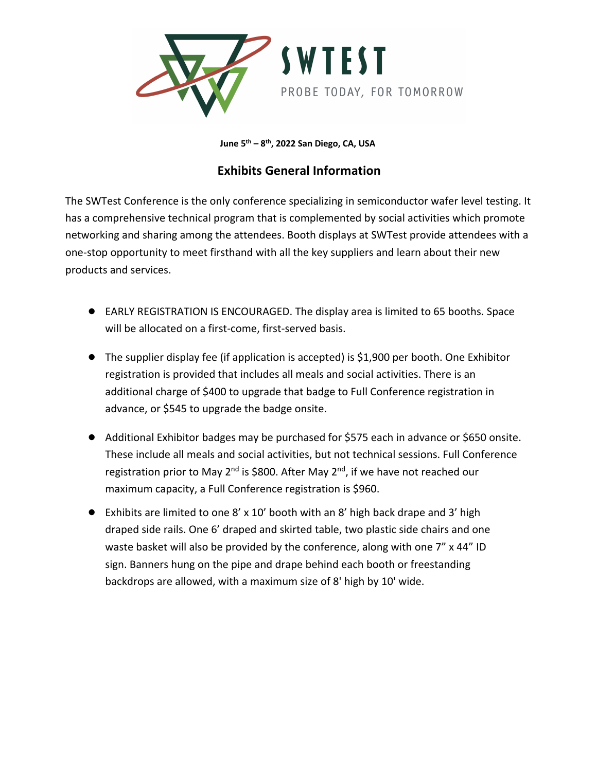

**June 5th – 8th, 2022 San Diego, CA, USA**

## **Exhibits General Information**

The SWTest Conference is the only conference specializing in semiconductor wafer level testing. It has a comprehensive technical program that is complemented by social activities which promote networking and sharing among the attendees. Booth displays at SWTest provide attendees with a one-stop opportunity to meet firsthand with all the key suppliers and learn about their new products and services.

- EARLY REGISTRATION IS ENCOURAGED. The display area is limited to 65 booths. Space will be allocated on a first-come, first-served basis.
- The supplier display fee (if application is accepted) is \$1,900 per booth. One Exhibitor registration is provided that includes all meals and social activities. There is an additional charge of \$400 to upgrade that badge to Full Conference registration in advance, or \$545 to upgrade the badge onsite.
- Additional Exhibitor badges may be purchased for \$575 each in advance or \$650 onsite. These include all meals and social activities, but not technical sessions. Full Conference registration prior to May  $2^{nd}$  is \$800. After May  $2^{nd}$ , if we have not reached our maximum capacity, a Full Conference registration is \$960.
- Exhibits are limited to one 8' x 10' booth with an 8' high back drape and 3' high draped side rails. One 6' draped and skirted table, two plastic side chairs and one waste basket will also be provided by the conference, along with one 7" x 44" ID sign. Banners hung on the pipe and drape behind each booth or freestanding backdrops are allowed, with a maximum size of 8' high by 10' wide.